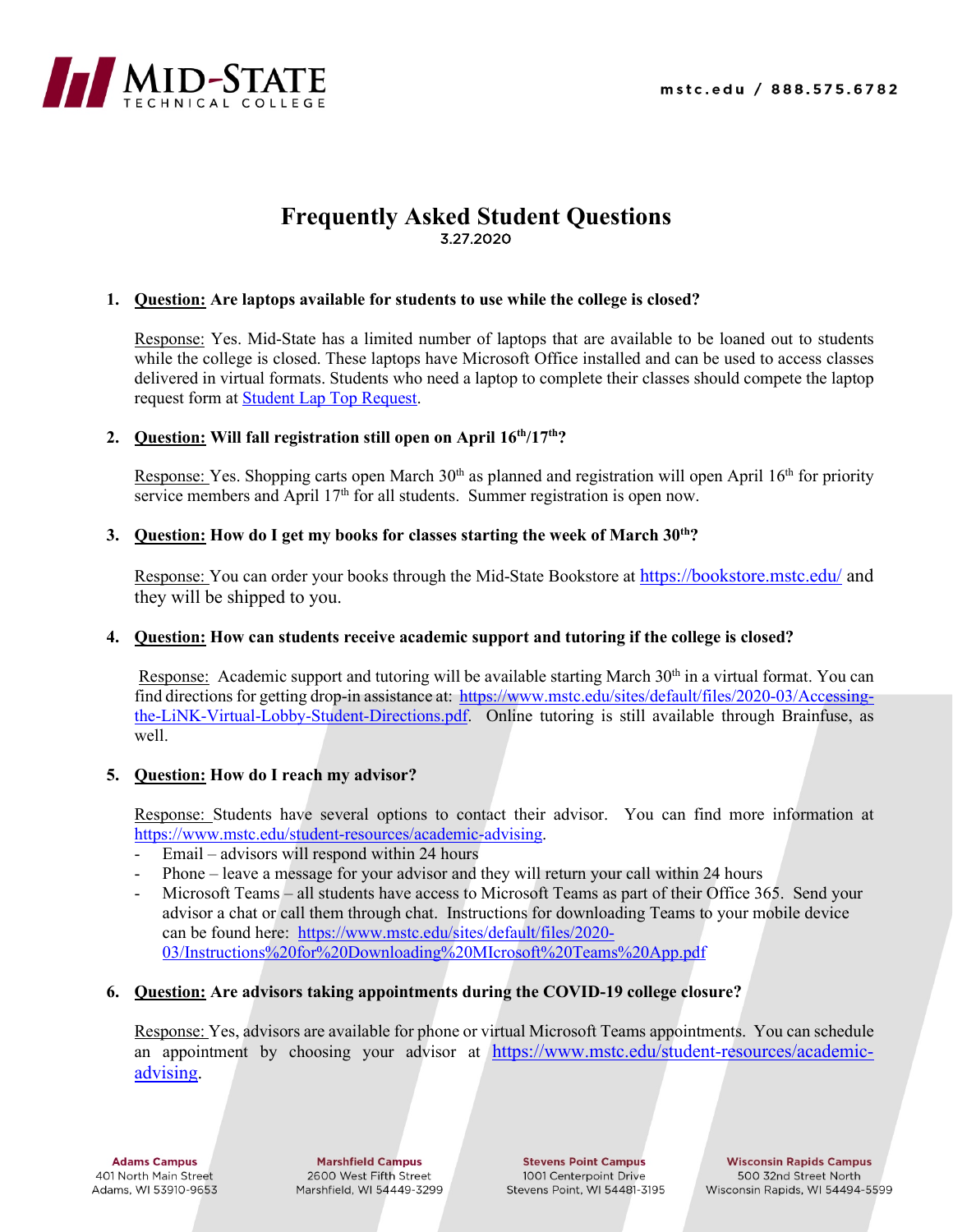

# **Frequently Asked Student Questions** 3.27.2020

# **1. Question: Are laptops available for students to use while the college is closed?**

Response: Yes. Mid-State has a limited number of laptops that are available to be loaned out to students while the college is closed. These laptops have Microsoft Office installed and can be used to access classes delivered in virtual formats. Students who need a laptop to complete their classes should compete the laptop request form at [Student Lap Top Request.](https://www.mstc.edu/form/student-laptop-request)

# **2. Question: Will fall registration still open on April 16th/17th?**

Response: Yes. Shopping carts open March 30<sup>th</sup> as planned and registration will open April 16<sup>th</sup> for priority service members and April  $17<sup>th</sup>$  for all students. Summer registration is open now.

# **3. Question:** How do I get my books for classes starting the week of March 30<sup>th</sup>?

Response: You can order your books through the Mid-State Bookstore at<https://bookstore.mstc.edu/> and they will be shipped to you.

# **4. Question: How can students receive academic support and tutoring if the college is closed?**

Response: Academic support and tutoring will be available starting March 30<sup>th</sup> in a virtual format. You can find directions for getting drop-in assistance at: [https://www.mstc.edu/sites/default/files/2020-03/Accessing](https://www.mstc.edu/sites/default/files/2020-03/Accessing-the-LiNK-Virtual-Lobby-Student-Directions.pdf)[the-LiNK-Virtual-Lobby-Student-Directions.pdf.](https://www.mstc.edu/sites/default/files/2020-03/Accessing-the-LiNK-Virtual-Lobby-Student-Directions.pdf) Online tutoring is still available through Brainfuse, as well.

# **5. Question: How do I reach my advisor?**

Response: Students have several options to contact their advisor. You can find more information at [https://www.mstc.edu/student-resources/academic-advising.](https://www.mstc.edu/student-resources/academic-advising)

- Email advisors will respond within 24 hours
- Phone leave a message for your advisor and they will return your call within 24 hours
- Microsoft Teams all students have access to Microsoft Teams as part of their Office 365. Send your advisor a chat or call them through chat. Instructions for downloading Teams to your mobile device can be found here: [https://www.mstc.edu/sites/default/files/2020-](https://www.mstc.edu/sites/default/files/2020-03/Instructions%20for%20Downloading%20MIcrosoft%20Teams%20App.pdf) [03/Instructions%20for%20Downloading%20MIcrosoft%20Teams%20App.pdf](https://www.mstc.edu/sites/default/files/2020-03/Instructions%20for%20Downloading%20MIcrosoft%20Teams%20App.pdf)

# **6. Question: Are advisors taking appointments during the COVID-19 college closure?**

Response: Yes, advisors are available for phone or virtual Microsoft Teams appointments. You can schedule an appointment by choosing your advisor at [https://www.mstc.edu/student-resources/academic](https://www.mstc.edu/student-resources/academic-advising)[advising.](https://www.mstc.edu/student-resources/academic-advising)

**Adams Campus** 401 North Main Street Adams, WI 53910-9653

**Marshfield Campus** 2600 West Fifth Street Marshfield, WI 54449-3299

**Stevens Point Campus** 1001 Centerpoint Drive Stevens Point, WI 54481-3195

**Wisconsin Rapids Campus** 500 32nd Street North Wisconsin Rapids, WI 54494-5599